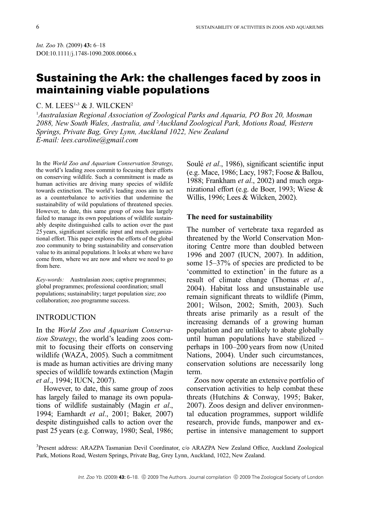Int. Zoo Yb. (2009) 43: 6–18 DOI:10.1111/j.1748-1090.2008.00066.x

# Sustaining the Ark: the challenges faced by zoos in maintaining viable populations

# C. M. LEES $^{1,3}$  & J. WILCKEN<sup>2</sup>

<sup>1</sup>Australasian Regional Association of Zoological Parks and Aquaria, PO Box 20, Mosman 2088, New South Wales, Australia, and <sup>2</sup>Auckland Zoological Park, Motions Road, Western Springs, Private Bag, Grey Lynn, Auckland 1022, New Zealand E-mail: lees.caroline@gmail.com

In the World Zoo and Aquarium Conservation Strategy, the world's leading zoos commit to focusing their efforts on conserving wildlife. Such a commitment is made as human activities are driving many species of wildlife towards extinction. The world's leading zoos aim to act as a counterbalance to activities that undermine the sustainability of wild populations of threatened species. However, to date, this same group of zoos has largely failed to manage its own populations of wildlife sustainably despite distinguished calls to action over the past 25 years, significant scientific input and much organizational effort. This paper explores the efforts of the global zoo community to bring sustainability and conservation value to its animal populations. It looks at where we have come from, where we are now and where we need to go from here.

Key-words: Australasian zoos; captive programmes; global programmes; professional coordination; small populations; sustainability; target population size; zoo collaboration; zoo programme success.

## INTRODUCTION

In the World Zoo and Aquarium Conservation Strategy, the world's leading zoos commit to focusing their efforts on conserving wildlife (WAZA, 2005). Such a commitment is made as human activities are driving many species of wildlife towards extinction (Magin et al., 1994; IUCN, 2007).

However, to date, this same group of zoos has largely failed to manage its own populations of wildlife sustainably (Magin et al., 1994; Earnhardt et al., 2001; Baker, 2007) despite distinguished calls to action over the past 25 years (e.g. Conway, 1980; Seal, 1986; Soulé *et al.*, 1986), significant scientific input (e.g. Mace, 1986; Lacy, 1987; Foose & Ballou, 1988; Frankham et al., 2002) and much organizational effort (e.g. de Boer, 1993; Wiese & Willis, 1996; Lees & Wilcken, 2002).

#### The need for sustainability

The number of vertebrate taxa regarded as threatened by the World Conservation Monitoring Centre more than doubled between 1996 and 2007 (IUCN, 2007). In addition, some 15–37% of species are predicted to be 'committed to extinction' in the future as a result of climate change (Thomas et al., 2004). Habitat loss and unsustainable use remain significant threats to wildlife (Pimm, 2001; Wilson, 2002; Smith, 2003). Such threats arise primarily as a result of the increasing demands of a growing human population and are unlikely to abate globally until human populations have stabilized – perhaps in 100–200 years from now (United Nations, 2004). Under such circumstances, conservation solutions are necessarily long term.

Zoos now operate an extensive portfolio of conservation activities to help combat these threats (Hutchins & Conway, 1995; Baker, 2007). Zoos design and deliver environmental education programmes, support wildlife research, provide funds, manpower and expertise in intensive management to support

<sup>3</sup>Present address: ARAZPA Tasmanian Devil Coordinator, c/o ARAZPA New Zealand Office, Auckland Zoological Park, Motions Road, Western Springs, Private Bag, Grey Lynn, Auckland, 1022, New Zealand.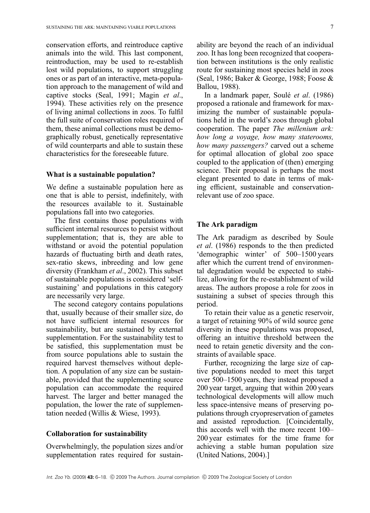conservation efforts, and reintroduce captive animals into the wild. This last component, reintroduction, may be used to re-establish lost wild populations, to support struggling ones or as part of an interactive, meta-population approach to the management of wild and captive stocks (Seal, 1991; Magin et al., 1994). These activities rely on the presence of living animal collections in zoos. To fulfil the full suite of conservation roles required of them, these animal collections must be demographically robust, genetically representative of wild counterparts and able to sustain these characteristics for the foreseeable future.

#### What is a sustainable population?

We define a sustainable population here as one that is able to persist, indefinitely, with the resources available to it. Sustainable populations fall into two categories.

The first contains those populations with sufficient internal resources to persist without supplementation; that is, they are able to withstand or avoid the potential population hazards of fluctuating birth and death rates, sex-ratio skews, inbreeding and low gene diversity (Frankham et al., 2002). This subset of sustainable populations is considered 'selfsustaining' and populations in this category are necessarily very large.

The second category contains populations that, usually because of their smaller size, do not have sufficient internal resources for sustainability, but are sustained by external supplementation. For the sustainability test to be satisfied, this supplementation must be from source populations able to sustain the required harvest themselves without depletion. A population of any size can be sustainable, provided that the supplementing source population can accommodate the required harvest. The larger and better managed the population, the lower the rate of supplementation needed (Willis & Wiese, 1993).

#### Collaboration for sustainability

Overwhelmingly, the population sizes and/or supplementation rates required for sustainability are beyond the reach of an individual zoo. It has long been recognized that cooperation between institutions is the only realistic route for sustaining most species held in zoos (Seal, 1986; Baker & George, 1988; Foose & Ballou, 1988).

In a landmark paper, Soulé *et al.* (1986) proposed a rationale and framework for maximizing the number of sustainable populations held in the world's zoos through global cooperation. The paper The millenium ark: how long a voyage, how many staterooms, how many passengers? carved out a scheme for optimal allocation of global zoo space coupled to the application of (then) emerging science. Their proposal is perhaps the most elegant presented to date in terms of making efficient, sustainable and conservationrelevant use of zoo space.

# The Ark paradigm

The Ark paradigm as described by Soule et al. (1986) responds to the then predicted 'demographic winter' of 500–1500 years after which the current trend of environmental degradation would be expected to stabilize, allowing for the re-establishment of wild areas. The authors propose a role for zoos in sustaining a subset of species through this period.

To retain their value as a genetic reservoir, a target of retaining 90% of wild source gene diversity in these populations was proposed, offering an intuitive threshold between the need to retain genetic diversity and the constraints of available space.

Further, recognizing the large size of captive populations needed to meet this target over 500–1500 years, they instead proposed a 200 year target, arguing that within 200 years technological developments will allow much less space-intensive means of preserving populations through cryopreservation of gametes and assisted reproduction. [Coincidentally, this accords well with the more recent 100– 200 year estimates for the time frame for achieving a stable human population size (United Nations, 2004).]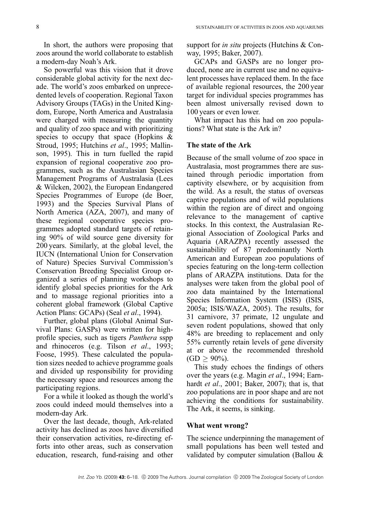In short, the authors were proposing that zoos around the world collaborate to establish a modern-day Noah's Ark.

So powerful was this vision that it drove considerable global activity for the next decade. The world's zoos embarked on unprecedented levels of cooperation. Regional Taxon Advisory Groups (TAGs) in the United Kingdom, Europe, North America and Australasia were charged with measuring the quantity and quality of zoo space and with prioritizing species to occupy that space (Hopkins  $\&$ Stroud, 1995; Hutchins et al., 1995; Mallinson, 1995). This in turn fuelled the rapid expansion of regional cooperative zoo programmes, such as the Australasian Species Management Programs of Australasia (Lees & Wilcken, 2002), the European Endangered Species Programmes of Europe (de Boer, 1993) and the Species Survival Plans of North America (AZA, 2007), and many of these regional cooperative species programmes adopted standard targets of retaining 90% of wild source gene diversity for 200 years. Similarly, at the global level, the IUCN (International Union for Conservation of Nature) Species Survival Commission's Conservation Breeding Specialist Group organized a series of planning workshops to identify global species priorities for the Ark and to massage regional priorities into a coherent global framework (Global Captive Action Plans: GCAPs) (Seal et al., 1994).

Further, global plans (Global Animal Survival Plans: GASPs) were written for highprofile species, such as tigers Panthera sspp and rhinoceros (e.g. Tilson et al., 1993; Foose, 1995). These calculated the population sizes needed to achieve programme goals and divided up responsibility for providing the necessary space and resources among the participating regions.

For a while it looked as though the world's zoos could indeed mould themselves into a modern-day Ark.

Over the last decade, though, Ark-related activity has declined as zoos have diversified their conservation activities, re-directing efforts into other areas, such as conservation education, research, fund-raising and other

support for *in situ* projects (Hutchins & Conway, 1995; Baker, 2007).

GCAPs and GASPs are no longer produced, none are in current use and no equivalent processes have replaced them. In the face of available regional resources, the 200 year target for individual species programmes has been almost universally revised down to 100 years or even lower.

What impact has this had on zoo populations? What state is the Ark in?

## The state of the Ark

Because of the small volume of zoo space in Australasia, most programmes there are sustained through periodic importation from captivity elsewhere, or by acquisition from the wild. As a result, the status of overseas captive populations and of wild populations within the region are of direct and ongoing relevance to the management of captive stocks. In this context, the Australasian Regional Association of Zoological Parks and Aquaria (ARAZPA) recently assessed the sustainability of 87 predominantly North American and European zoo populations of species featuring on the long-term collection plans of ARAZPA institutions. Data for the analyses were taken from the global pool of zoo data maintained by the International Species Information System (ISIS) (ISIS, 2005a; ISIS/WAZA, 2005). The results, for 31 carnivore, 37 primate, 12 ungulate and seven rodent populations, showed that only 48% are breeding to replacement and only 55% currently retain levels of gene diversity at or above the recommended threshold  $(GD \ge 90\%).$ 

This study echoes the findings of others over the years (e.g. Magin et al., 1994; Earnhardt et al., 2001; Baker, 2007); that is, that zoo populations are in poor shape and are not achieving the conditions for sustainability. The Ark, it seems, is sinking.

#### What went wrong?

The science underpinning the management of small populations has been well tested and validated by computer simulation (Ballou &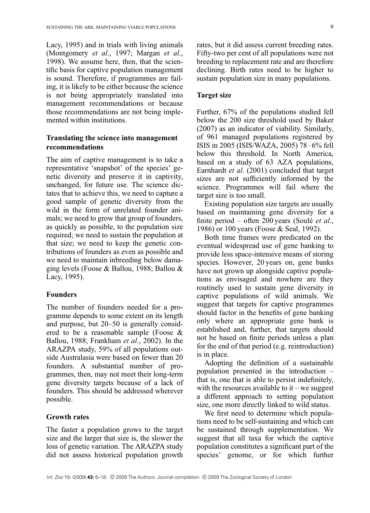Lacy, 1995) and in trials with living animals (Montgomery et al., 1997; Margan et al., 1998). We assume here, then, that the scientific basis for captive population management is sound. Therefore, if programmes are failing, it is likely to be either because the science is not being appropriately translated into management recommendations or because those recommendations are not being implemented within institutions.

# Translating the science into management recommendations

The aim of captive management is to take a representative 'snapshot' of the species' genetic diversity and preserve it in captivity, unchanged, for future use. The science dictates that to achieve this, we need to capture a good sample of genetic diversity from the wild in the form of unrelated founder animals; we need to grow that group of founders, as quickly as possible, to the population size required; we need to sustain the population at that size; we need to keep the genetic contributions of founders as even as possible and we need to maintain inbreeding below damaging levels (Foose & Ballou, 1988; Ballou & Lacy, 1995).

## Founders

The number of founders needed for a programme depends to some extent on its length and purpose, but 20–50 is generally considered to be a reasonable sample (Foose & Ballou, 1988; Frankham et al., 2002). In the ARAZPA study, 59% of all populations outside Australasia were based on fewer than 20 founders. A substantial number of programmes, then, may not meet their long-term gene diversity targets because of a lack of founders. This should be addressed wherever possible.

#### Growth rates

The faster a population grows to the target size and the larger that size is, the slower the loss of genetic variation. The ARAZPA study did not assess historical population growth rates, but it did assess current breeding rates. Fifty-two per cent of all populations were not breeding to replacement rate and are therefore declining. Birth rates need to be higher to sustain population size in many populations.

### Target size

Further, 67% of the populations studied fell below the 200 size threshold used by Baker (2007) as an indicator of viability. Similarly, of 961 managed populations registered by ISIS in 2005 (ISIS/WAZA, 2005) 78 6% fell below this threshold. In North America, based on a study of 63 AZA populations, Earnhardt et al. (2001) concluded that target sizes are not sufficiently informed by the science. Programmes will fail where the target size is too small.

Existing population size targets are usually based on maintaining gene diversity for a finite period – often 200 years (Soulé et al., 1986) or 100 years (Foose & Seal, 1992).

Both time frames were predicated on the eventual widespread use of gene banking to provide less space-intensive means of storing species. However, 20 years on, gene banks have not grown up alongside captive populations as envisaged and nowhere are they routinely used to sustain gene diversity in captive populations of wild animals. We suggest that targets for captive programmes should factor in the benefits of gene banking only where an appropriate gene bank is established and, further, that targets should not be based on finite periods unless a plan for the end of that period (e.g. reintroduction) is in place.

Adopting the definition of a sustainable population presented in the introduction – that is, one that is able to persist indefinitely, with the resources available to  $it$  – we suggest a different approach to setting population size, one more directly linked to wild status.

We first need to determine which populations need to be self-sustaining and which can be sustained through supplementation. We suggest that all taxa for which the captive population constitutes a significant part of the species' genome, or for which further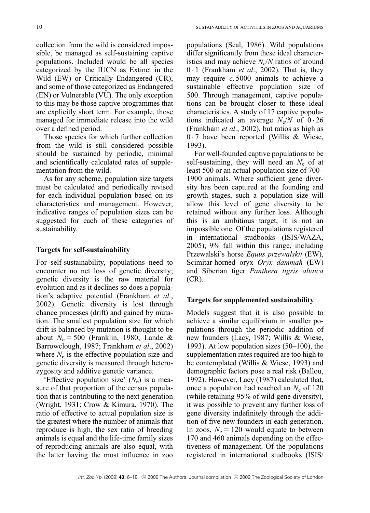collection from the wild is considered impossible, be managed as self-sustaining captive populations. Included would be all species categorized by the IUCN as Extinct in the Wild (EW) or Critically Endangered (CR), and some of those categorized as Endangered (EN) or Vulnerable (VU). The only exception to this may be those captive programmes that are explicitly short term. For example, those managed for immediate release into the wild over a defined period.

Those species for which further collection from the wild is still considered possible should be sustained by periodic, minimal and scientifically calculated rates of supplementation from the wild.

As for any scheme, population size targets must be calculated and periodically revised for each individual population based on its characteristics and management. However, indicative ranges of population sizes can be suggested for each of these categories of sustainability.

#### Targets for self-sustainability

For self-sustainability, populations need to encounter no net loss of genetic diversity; genetic diversity is the raw material for evolution and as it declines so does a population's adaptive potential (Frankham et al., 2002). Genetic diversity is lost through chance processes (drift) and gained by mutation. The smallest population size for which drift is balanced by mutation is thought to be about  $N_e = 500$  (Franklin, 1980; Lande & Barrowclough, 1987; Frankham et al., 2002) where  $N_e$  is the effective population size and genetic diversity is measured through heterozygosity and additive genetic variance.

'Effective population size'  $(N_e)$  is a measure of that proportion of the census population that is contributing to the next generation (Wright, 1931; Crow & Kimura, 1970). The ratio of effective to actual population size is the greatest where the number of animals that reproduce is high, the sex ratio of breeding animals is equal and the life-time family sizes of reproducing animals are also equal, with the latter having the most influence in zoo populations (Seal, 1986). Wild populations differ significantly from these ideal characteristics and may achieve  $N_e/N$  ratios of around  $0 \cdot 1$  (Frankham *et al.*, 2002). That is, they may require  $c$ . 5000 animals to achieve a sustainable effective population size of 500. Through management, captive populations can be brought closer to these ideal characteristics. A study of 17 captive populations indicated an average  $N_e/N$  of  $0.26$ (Frankham et al., 2002), but ratios as high as  $0.7$  have been reported (Willis & Wiese, 1993).

For well-founded captive populations to be self-sustaining, they will need an  $N_e$  of at least 500 or an actual population size of 700– 1900 animals. Where sufficient gene diversity has been captured at the founding and growth stages, such a population size will allow this level of gene diversity to be retained without any further loss. Although this is an ambitious target, it is not an impossible one. Of the populations registered in international studbooks (ISIS/WAZA, 2005), 9% fall within this range, including Przewalski's horse Equus przewalskii (EW), Scimitar-horned oryx Oryx dammah (EW) and Siberian tiger Panthera tigris altaica (CR).

## Targets for supplemented sustainability

Models suggest that it is also possible to achieve a similar equilibrium in smaller populations through the periodic addition of new founders (Lacy, 1987; Willis & Wiese, 1993). At low population sizes (50–100), the supplementation rates required are too high to be contemplated (Willis & Wiese, 1993) and demographic factors pose a real risk (Ballou, 1992). However, Lacy (1987) calculated that, once a population had reached an  $N_e$  of 120 (while retaining 95% of wild gene diversity), it was possible to prevent any further loss of gene diversity indefinitely through the addition of five new founders in each generation. In zoos,  $N_e = 120$  would equate to between 170 and 460 animals depending on the effectiveness of management. Of the populations registered in international studbooks (ISIS/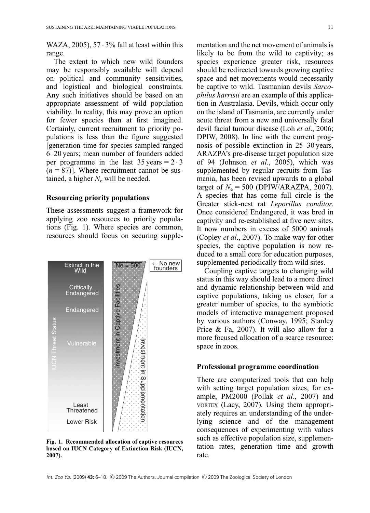WAZA, 2005), 57 $\cdot$  3% fall at least within this range.

The extent to which new wild founders may be responsibly available will depend on political and community sensitivities, and logistical and biological constraints. Any such initiatives should be based on an appropriate assessment of wild population viability. In reality, this may prove an option for fewer species than at first imagined. Certainly, current recruitment to priority populations is less than the figure suggested [generation time for species sampled ranged 6–20 years; mean number of founders added per programme in the last  $35$  years =  $2 \cdot 3$  $(n = 87)$ ]. Where recruitment cannot be sustained, a higher  $N_e$  will be needed.

#### Resourcing priority populations

These assessments suggest a framework for applying zoo resources to priority populations (Fig. 1). Where species are common, resources should focus on securing supple-



Fig. 1. Recommended allocation of captive resources based on IUCN Category of Extinction Risk (IUCN, 2007).

mentation and the net movement of animals is likely to be from the wild to captivity; as species experience greater risk, resources should be redirected towards growing captive space and net movements would necessarily be captive to wild. Tasmanian devils Sarcophilus harrisii are an example of this application in Australasia. Devils, which occur only on the island of Tasmania, are currently under acute threat from a new and universally fatal devil facial tumour disease (Loh et al., 2006; DPIW, 2008). In line with the current prognosis of possible extinction in 25–30 years, ARAZPA's pre-disease target population size of 94 (Johnson et al., 2005), which was supplemented by regular recruits from Tasmania, has been revised upwards to a global target of  $N_e = 500$  (DPIW/ARAZPA, 2007). A species that has come full circle is the Greater stick-nest rat Leporillus conditor. Once considered Endangered, it was bred in captivity and re-established at five new sites. It now numbers in excess of 5000 animals (Copley et al., 2007). To make way for other species, the captive population is now reduced to a small core for education purposes, supplemented periodically from wild sites.

Coupling captive targets to changing wild status in this way should lead to a more direct and dynamic relationship between wild and captive populations, taking us closer, for a greater number of species, to the symbiotic models of interactive management proposed by various authors (Conway, 1995; Stanley Price & Fa, 2007). It will also allow for a more focused allocation of a scarce resource: space in zoos.

#### Professional programme coordination

There are computerized tools that can help with setting target population sizes, for example, PM2000 (Pollak et al., 2007) and VORTEX (Lacy, 2007). Using them appropriately requires an understanding of the underlying science and of the management consequences of experimenting with values such as effective population size, supplementation rates, generation time and growth rate.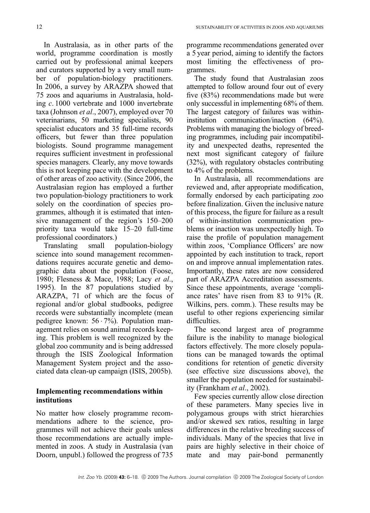In Australasia, as in other parts of the world, programme coordination is mostly carried out by professional animal keepers and curators supported by a very small number of population-biology practitioners. In 2006, a survey by ARAZPA showed that 75 zoos and aquariums in Australasia, holding c. 1000 vertebrate and 1000 invertebrate taxa (Johnson et al., 2007), employed over 70 veterinarians, 50 marketing specialists, 90 specialist educators and 35 full-time records officers, but fewer than three population biologists. Sound programme management requires sufficient investment in professional species managers. Clearly, any move towards this is not keeping pace with the development of other areas of zoo activity. (Since 2006, the Australasian region has employed a further two population-biology practitioners to work solely on the coordination of species programmes, although it is estimated that intensive management of the region's 150–200 priority taxa would take 15–20 full-time professional coordinators.)

Translating small population-biology science into sound management recommendations requires accurate genetic and demographic data about the population (Foose, 1980; Flesness & Mace, 1988; Lacy et al., 1995). In the 87 populations studied by ARAZPA, 71 of which are the focus of regional and/or global studbooks, pedigree records were substantially incomplete (mean pedigree known:  $56 \cdot 7\%$ ). Population management relies on sound animal records keeping. This problem is well recognized by the global zoo community and is being addressed through the ISIS Zoological Information Management System project and the associated data clean-up campaign (ISIS, 2005b).

# Implementing recommendations within institutions

No matter how closely programme recommendations adhere to the science, programmes will not achieve their goals unless those recommendations are actually implemented in zoos. A study in Australasia (van Doorn, unpubl.) followed the progress of 735 programme recommendations generated over a 5 year period, aiming to identify the factors most limiting the effectiveness of programmes.

The study found that Australasian zoos attempted to follow around four out of every five (83%) recommendations made but were only successful in implementing 68% of them. The largest category of failures was withininstitution communication/inaction (64%). Problems with managing the biology of breeding programmes, including pair incompatibility and unexpected deaths, represented the next most significant category of failure (32%), with regulatory obstacles contributing to 4% of the problems.

In Australasia, all recommendations are reviewed and, after appropriate modification, formally endorsed by each participating zoo before finalization. Given the inclusive nature of this process, the figure for failure as a result of within-institution communication problems or inaction was unexpectedly high. To raise the profile of population management within zoos, 'Compliance Officers' are now appointed by each institution to track, report on and improve annual implementation rates. Importantly, these rates are now considered part of ARAZPA Accreditation assessments. Since these appointments, average 'compliance rates' have risen from 83 to 91% (R. Wilkins, pers. comm.). These results may be useful to other regions experiencing similar difficulties.

The second largest area of programme failure is the inability to manage biological factors effectively. The more closely populations can be managed towards the optimal conditions for retention of genetic diversity (see effective size discussions above), the smaller the population needed for sustainability (Frankham et al., 2002).

Few species currently allow close direction of these parameters. Many species live in polygamous groups with strict hierarchies and/or skewed sex ratios, resulting in large differences in the relative breeding success of individuals. Many of the species that live in pairs are highly selective in their choice of mate and may pair-bond permanently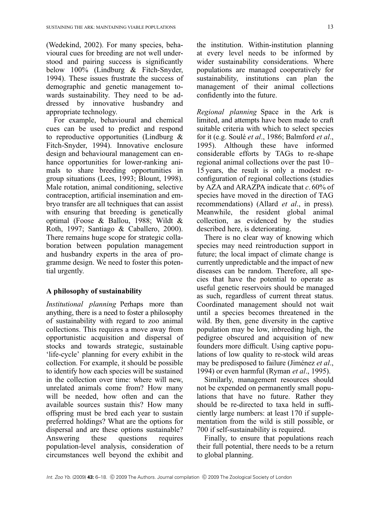(Wedekind, 2002). For many species, behavioural cues for breeding are not well understood and pairing success is significantly below 100% (Lindburg & Fitch-Snyder, 1994). These issues frustrate the success of demographic and genetic management towards sustainability. They need to be addressed by innovative husbandry and appropriate technology.

For example, behavioural and chemical cues can be used to predict and respond to reproductive opportunities (Lindburg & Fitch-Snyder, 1994). Innovative enclosure design and behavioural management can enhance opportunities for lower-ranking animals to share breeding opportunities in group situations (Lees, 1993; Blount, 1998). Male rotation, animal conditioning, selective contraception, artificial insemination and embryo transfer are all techniques that can assist with ensuring that breeding is genetically optimal (Foose & Ballou, 1988; Wildt & Roth, 1997; Santiago & Caballero, 2000). There remains huge scope for strategic collaboration between population management and husbandry experts in the area of programme design. We need to foster this potential urgently.

## A philosophy of sustainability

Institutional planning Perhaps more than anything, there is a need to foster a philosophy of sustainability with regard to zoo animal collections. This requires a move away from opportunistic acquisition and dispersal of stocks and towards strategic, sustainable 'life-cycle' planning for every exhibit in the collection. For example, it should be possible to identify how each species will be sustained in the collection over time: where will new, unrelated animals come from? How many will be needed, how often and can the available sources sustain this? How many offspring must be bred each year to sustain preferred holdings? What are the options for dispersal and are these options sustainable? Answering these questions requires population-level analysis, consideration of circumstances well beyond the exhibit and

the institution. Within-institution planning at every level needs to be informed by wider sustainability considerations. Where populations are managed cooperatively for sustainability, institutions can plan the management of their animal collections confidently into the future.

Regional planning Space in the Ark is limited, and attempts have been made to craft suitable criteria with which to select species for it (e.g. Soulé et al., 1986; Balmford et al., 1995). Although these have informed considerable efforts by TAGs to re-shape regional animal collections over the past 10– 15 years, the result is only a modest reconfiguration of regional collections (studies by AZA and ARAZPA indicate that c. 60% of species have moved in the direction of TAG recommendations) (Allard *et al.*, in press). Meanwhile, the resident global animal collection, as evidenced by the studies described here, is deteriorating.

There is no clear way of knowing which species may need reintroduction support in future; the local impact of climate change is currently unpredictable and the impact of new diseases can be random. Therefore, all species that have the potential to operate as useful genetic reservoirs should be managed as such, regardless of current threat status. Coordinated management should not wait until a species becomes threatened in the wild. By then, gene diversity in the captive population may be low, inbreeding high, the pedigree obscured and acquisition of new founders more difficult. Using captive populations of low quality to re-stock wild areas may be predisposed to failure (Jiménez et al., 1994) or even harmful (Ryman et al., 1995).

Similarly, management resources should not be expended on permanently small populations that have no future. Rather they should be re-directed to taxa held in sufficiently large numbers: at least 170 if supplementation from the wild is still possible, or 700 if self-sustainability is required.

Finally, to ensure that populations reach their full potential, there needs to be a return to global planning.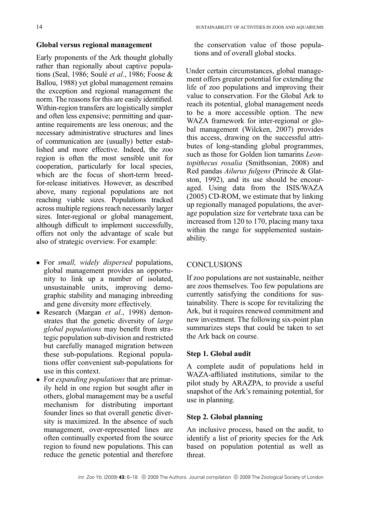## Global versus regional management

Early proponents of the Ark thought globally rather than regionally about captive populations (Seal, 1986; Soulé et al., 1986; Foose  $\&$ Ballou, 1988) yet global management remains the exception and regional management the norm. The reasons for this are easily identified. Within-region transfers are logistically simpler and often less expensive; permitting and quarantine requirements are less onerous; and the necessary administrative structures and lines of communication are (usually) better established and more effective. Indeed, the zoo region is often the most sensible unit for cooperation, particularly for local species, which are the focus of short-term breedfor-release initiatives. However, as described above, many regional populations are not reaching viable sizes. Populations tracked across multiple regions reach necessarily larger sizes. Inter-regional or global management, although difficult to implement successfully, offers not only the advantage of scale but also of strategic overview. For example:

- For small, widely dispersed populations, global management provides an opportunity to link up a number of isolated, unsustainable units, improving demographic stability and managing inbreeding and gene diversity more effectively.
- Research (Margan et al., 1998) demonstrates that the genetic diversity of large global populations may benefit from strategic population sub-division and restricted but carefully managed migration between these sub-populations. Regional populations offer convenient sub-populations for use in this context.
- For expanding populations that are primarily held in one region but sought after in others, global management may be a useful mechanism for distributing important founder lines so that overall genetic diversity is maximized. In the absence of such management, over-represented lines are often continually exported from the source region to found new populations. This can reduce the genetic potential and therefore

the conservation value of those populations and of overall global stocks.

Under certain circumstances, global management offers greater potential for extending the life of zoo populations and improving their value to conservation. For the Global Ark to reach its potential, global management needs to be a more accessible option. The new WAZA framework for inter-regional or global management (Wilcken, 2007) provides this access, drawing on the successful attributes of long-standing global programmes, such as those for Golden lion tamarins Leontopithecus rosalia (Smithsonian, 2008) and Red pandas Ailurus fulgens (Princée & Glatston, 1992), and its use should be encouraged. Using data from the ISIS/WAZA (2005) CD-ROM, we estimate that by linking up regionally managed populations, the average population size for vertebrate taxa can be increased from 120 to 170, placing many taxa within the range for supplemented sustainability.

# **CONCLUSIONS**

If zoo populations are not sustainable, neither are zoos themselves. Too few populations are currently satisfying the conditions for sustainability. There is scope for revitalizing the Ark, but it requires renewed commitment and new investment. The following six-point plan summarizes steps that could be taken to set the Ark back on course.

## Step 1. Global audit

A complete audit of populations held in WAZA-affiliated institutions, similar to the pilot study by ARAZPA, to provide a useful snapshot of the Ark's remaining potential, for use in planning.

## Step 2. Global planning

An inclusive process, based on the audit, to identify a list of priority species for the Ark based on population potential as well as threat.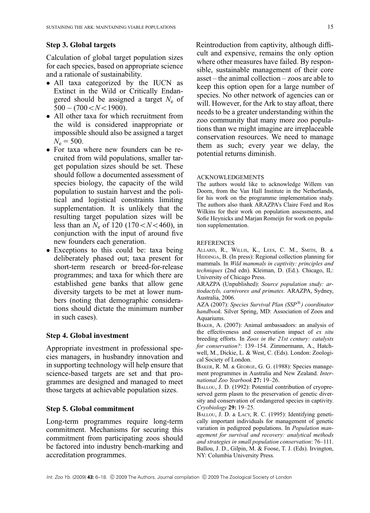## Step 3. Global targets

Calculation of global target population sizes for each species, based on appropriate science and a rationale of sustainability.

- All taxa categorized by the IUCN as Extinct in the Wild or Critically Endangered should be assigned a target  $N_e$  of  $500 - (700 < N < 1900)$ .
- All other taxa for which recruitment from the wild is considered inappropriate or impossible should also be assigned a target  $N_e = 500$ .
- For taxa where new founders can be recruited from wild populations, smaller target population sizes should be set. These should follow a documented assessment of species biology, the capacity of the wild population to sustain harvest and the political and logistical constraints limiting supplementation. It is unlikely that the resulting target population sizes will be less than an  $N_e$  of 120 (170  $\lt N \lt 460$ ), in conjunction with the input of around five new founders each generation.
- Exceptions to this could be: taxa being deliberately phased out; taxa present for short-term research or breed-for-release programmes; and taxa for which there are established gene banks that allow gene diversity targets to be met at lower numbers (noting that demographic considerations should dictate the minimum number in such cases).

## Step 4. Global investment

Appropriate investment in professional species managers, in husbandry innovation and in supporting technology will help ensure that science-based targets are set and that programmes are designed and managed to meet those targets at achievable population sizes.

#### Step 5. Global commitment

Long-term programmes require long-term commitment. Mechanisms for securing this commitment from participating zoos should be factored into industry bench-marking and accreditation programmes.

Reintroduction from captivity, although difficult and expensive, remains the only option where other measures have failed. By responsible, sustainable management of their core asset – the animal collection – zoos are able to keep this option open for a large number of species. No other network of agencies can or will. However, for the Ark to stay afloat, there needs to be a greater understanding within the zoo community that many more zoo populations than we might imagine are irreplaceable conservation resources. We need to manage them as such; every year we delay, the potential returns diminish.

#### ACKNOWLEDGEMENTS

The authors would like to acknowledge Willem van Doorn, from the Van Hall Institute in the Netherlands, for his work on the programme implementation study. The authors also thank ARAZPA's Claire Ford and Ros Wilkins for their work on population assessments, and Sofie Heynicks and Marjan Romeijn for work on population supplementation.

#### REFERENCES

ALLARD, R., WILLIS, K., LEES, C. M., SMITH, B. & HIDDINGA, B. (In press): Regional collection planning for mammals. In Wild mammals in captivity: principles and techniques (2nd edn). Kleiman, D. (Ed.). Chicago, IL: University of Chicago Press.

ARAZPA (Unpublished): Source population study: artiodactyls, carnivores and primates. ARAZPA, Sydney, Australia, 2006.

AZA (2007): Species Survival Plan  $(SSP^{\tiny{\textregistered}})$  coordinator handbook. Silver Spring, MD: Association of Zoos and Aquariums.

BAKER, A. (2007): Animal ambassadors: an analysis of the effectiveness and conservation impact of ex situ breeding efforts. In Zoos in the 21st century: catalysts for conservation?: 139–154. Zimmermann, A., Hatchwell, M., Dickie, L. & West, C. (Eds). London: Zoological Society of London.

BAKER, R. M. & GEORGE, G. G. (1988): Species management programmes in Australia and New Zealand. International Zoo Yearbook 27: 19–26.

BALLOU, J. D. (1992): Potential contribution of cryopreserved germ plasm to the preservation of genetic diversity and conservation of endangered species in captivity. Cryobiology 29: 19–25.

BALLOU, J. D. & LACY, R. C. (1995): Identifying genetically important individuals for management of genetic variation in pedigreed populations. In Population management for survival and recovery: analytical methods and strategies in small population conservation: 76–111. Ballou, J. D., Gilpin, M. & Foose, T. J. (Eds). Irvington, NY: Columbia University Press.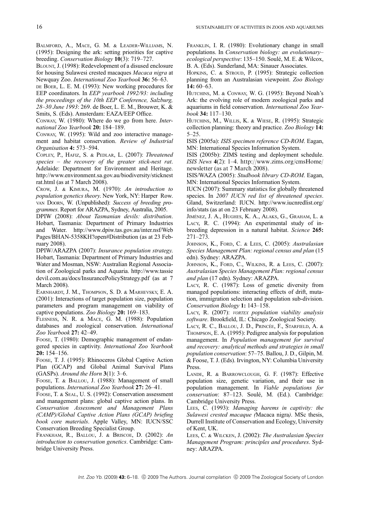BALMFORD, A., MACE, G. M. & LEADER-WILLIAMS, N. (1995): Designing the ark: setting priorities for captive breeding. Conservation Biology 10(3): 719–727.

BLOUNT, J. (1998): Redevelopment of a disused enclosure for housing Sulawesi crested macaques Macaca nigra at Newquay Zoo. International Zoo Yearbook 36: 56–63.

DE BOER, L. E. M. (1993): New working procedures for EEP coordinators. In EEP yearbook 1992/93: including the proceedings of the 10th EEP Conference, Salzburg, 28–30 June 1993: 269. de Boer, L. E. M., Brouwer, K. & Smits, S. (Eds). Amsterdam: EAZA/EEP Office.

CONWAY, W. (1980): Where do we go from here. International Zoo Yearbook 20: 184–189.

CONWAY, W. (1995): Wild and zoo interactive management and habitat conservation. Review of Industrial Organisation 4: 573–594.

COPLEY, P., HAFIZ, S. & PEDLAR, L. (2007): Threatened species – the recovery of the greater stick-nest rat. Adelaide: Department for Environment and Heritage. http://www.environment.sa.gov.au/biodiversity/sticknest rat.html (as at 7 March 2008).

CROW, J. & KIMURA, M. (1970): An introduction to population genetics theory. New York, NY: Harper Row. VAN DOORN, W. (Unpublished): Success of breeding programmes. Report for ARAZPA, Sydney, Australia, 2005.

DPIW (2008): About Tasmanian devils: distribution. Hobart, Tasmania: Department of Primary Industries and Water. http://www.dpiw.tas.gov.au/inter.nsf/Web Pages/BHAN-5358KH?open#Distribution (as at 23 February 2008).

DPIW/ARAZPA (2007): Insurance population strategy. Hobart, Tasmania: Department of Primary Industries and Water and Mosman, NSW: Australian Regional Association of Zoological parks and Aquaria. http://www.tassie devil.com.au/docs/InsurancePolicyStrategy.pdf (as at 7 March 2008).

EARNHARDT, J. M., THOMPSON, S. D. & MARHEVSKY, E. A. (2001): Interactions of target population size, population parameters and program management on viability of captive populations. Zoo Biology 20: 169–183.

FLESNESS, N. R. & MACE, G. M. (1988): Population databases and zoological conservation. International Zoo Yearbook 27: 42–49.

FOOSE, T. (1980): Demographic management of endangered species in captivity. International Zoo Yearbook 20: 154–156.

FOOSE, T. J. (1995): Rhinoceros Global Captive Action Plan (GCAP) and Global Animal Survival Plans (GASPs). Around the Horn  $3(1)$ : 3–6.

FOOSE, T. & BALLOU, J. (1988): Management of small populations. International Zoo Yearbook 27: 26–41.

FOOSE, T. & SEAL, U. S. (1992): Conservation assessment and management plans: global captive action plans. In Conservation Assessment and Management Plans (CAMP)/Global Captive Action Plans (GCAP) briefing book core materials. Apple Valley, MN: IUCN/SSC Conservation Breeding Specialist Group.

FRANKHAM, R., BALLOU, J. & BRISCOE, D. (2002): An introduction to conservation genetics. Cambridge: Cambridge University Press.

FRANKLIN, I. R. (1980): Evolutionary change in small populations. In Conservation biology: an evolutionary– ecological perspective: 135-150. Soulé, M. E. & Wilcox, B. A. (Eds). Sunderland, MA: Sinauer Associates.

HOPKINS, C. & STROUD, P. (1995): Strategic collection planning from an Australasian viewpoint. Zoo Biology 14: 60–63.

HUTCHINS, M. & CONWAY, W. G. (1995): Beyond Noah's Ark: the evolving role of modern zoological parks and aquariums in field conservation. International Zoo Yearbook 34: 117–130.

HUTCHINS, M., WILLIS, K. & WIESE, R. (1995): Strategic collection planning: theory and practice. Zoo Biology 14: 5–25.

ISIS (2005a): ISIS specimen reference CD-ROM. Eagan, MN: International Species Information System.

ISIS (2005b): ZIMS testing and deployment schedule. ISIS News 4(2): 1–4. http://www.zims.org/cmsHome/ newsletter (as at 7 March 2008).

ISIS/WAZA (2005): Studbook library CD-ROM. Eagan, MN: International Species Information System.

IUCN (2007): Summary statistics for globally threatened species. In 2007 IUCN red list of threatened species. Gland, Switzerland: IUCN. http://www.iucnredlist.org/ info/stats (as at on 23 February 2008).

JIMÉNEZ, J. A., HUGHES, K. A., ALAKS, G., GRAHAM, L. & LACY, R. C. (1994): An experimental study of inbreeding depression in a natural habitat. Science 265: 271–273.

JOHNSON, K., FORD, C. & LEES, C. (2005): Australasian Species Management Plan: regional census and plan (15 edn). Sydney: ARAZPA.

JOHNSON, K., FORD, C., WILKINS, R. & LEES, C. (2007): Australasian Species Management Plan: regional census and plan (17 edn). Sydney: ARAZPA.

LACY, R. C. (1987): Loss of genetic diversity from managed populations: interacting effects of drift, mutation, immigration selection and population sub-division. Conservation Biology 1: 143–158.

LACY, R. (2007): VORTEX population viability analysis software. Brookfield, IL: Chicago Zoological Society.

LACY, R. C., BALLOU, J. D., PRINCÉE, F., STARFIELD, A. & THOMPSON, E. A. (1995): Pedigree analysis for population management. In Population management for survival and recovery: analytical methods and strategies in small population conservation: 57–75. Ballou, J. D., Gilpin, M. & Foose, T. J. (Eds). Irvington, NY: Columbia University Press.

LANDE, R. & BARROWCLOUGH, G. F. (1987): Effective population size, genetic variation, and their use in population management. In Viable populations for conservation: 87-123. Soulé, M. (Ed.). Cambridge: Cambridge University Press.

LEES, C. (1993): Managing harems in captivity: the Sulawesi crested macaque (Macaca nigra). MSc thesis, Durrell Institute of Conservation and Ecology, University of Kent, UK.

LEES, C. & WILCKEN, J. (2002): The Australasian Species Management Program: principles and procedures. Sydney: ARAZPA.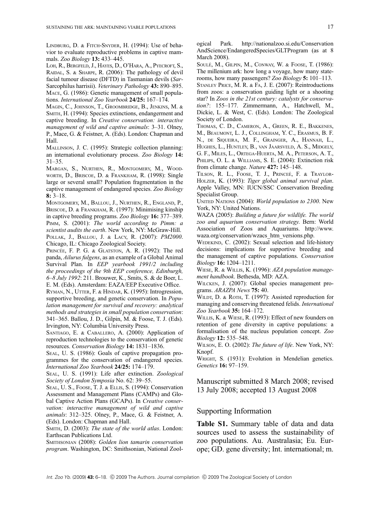LINDBURG, D. & FITCH-SNYDER, H. (1994): Use of behavior to evaluate reproductive problems in captive mammals. Zoo Biology 13: 433–445.

LOH, R., BERGFELD, J., HAYES, D., O'HARA, A., PYECROFT, S., RAIDAL, S. & SHARPE, R. (2006): The pathology of devil facial tumour disease (DFTD) in Tasmanian devils (Sar-Sarcophilus harrisii). Veterinary Pathology 43: 890-895. MACE, G. (1986): Genetic management of small populations. International Zoo Yearbook 24/25: 167–174.

MAGIN, C., JOHNSON, T., GROOMBRIDGE, B., JENKINS, M. & SMITH, H. (1994): Species extinctions, endangerment and captive breeding. In Creative conservation: interactive management of wild and captive animals: 3-31. Olney, P., Mace, G. & Feistner, A. (Eds). London: Chapman and Hall.

MALLINSON, J. C. (1995): Strategic collection planning: an international evolutionary process. Zoo Biology 14: 31–35.

MARGAN, S., NURTHEN, R., MONTGOMERY, M., WOOD-WORTH, D., BRISCOE, D. & FRANKHAM, R. (1998): Single large or several small? Population fragmentation in the captive management of endangered species. Zoo Biology 8: 3–18.

MONTGOMERY, M., BALLOU, J., NURTHEN, R., ENGLAND, P., BRISCOE, D. & FRANKHAM, R. (1997): Minimising kinship in captive breeding programs. Zoo Biology 16: 377–389. PIMM, S. (2001): The world according to Pimm: a scientist audits the earth. New York, NY: McGraw-Hill. POLLAK, J., BALLOU, J. & LACY, R. (2007): PM2000. Chicago, IL: Chicago Zoological Society.

PRINCÉE, F. P. G. & GLATSTON, A. R. (1992): The red panda, Ailurus fulgens, as an example of a Global Animal Survival Plan. In EEP yearbook 1991/2 including the proceedings of the 9th EEP conference, Edinburgh, 6–8 July 1992: 211. Brouwer, K., Smits, S. & de Boer, L. E. M. (Eds). Amsterdam: EAZA/EEP Executive Office.

RYMAN, N., UTTER, F. & HINDAR, K. (1995): Introgression, supportive breeding, and genetic conservation. In Population management for survival and recovery: analytical methods and strategies in small population conservation: 341–365. Ballou, J. D., Gilpin, M. & Foose, T. J. (Eds). Irvington, NY: Columbia University Press.

SANTIAGO, E. & CABALLERO, A. (2000): Application of reproduction technologies to the conservation of genetic resources. Conservation Biology 14: 1831–1836.

SEAL, U. S. (1986): Goals of captive propagation programmes for the conservation of endangered species. International Zoo Yearbook 24/25: 174–179.

SEAL, U. S. (1991): Life after extinction. Zoological Society of London Symposia No. 62: 39–55.

SEAL, U. S., FOOSE, T. J. & ELLIS, S. (1994): Conservation Assessment and Management Plans (CAMPs) and Global Captive Action Plans (GCAPs). In Creative conservation: interactive management of wild and captive animals: 312–325. Olney, P., Mace, G. & Feistner, A. (Eds). London: Chapman and Hall.

SMITH, D. (2003): The state of the world atlas. London: Earthscan Publications Ltd.

SMITHSONIAN (2008): Golden lion tamarin conservation program. Washington, DC: Smithsonian, National Zoological Park. http://nationalzoo.si.edu/Conservation AndScience/EndangeredSpecies/GLTProgram (as at 8 March 2008).

SOULE´, M., GILPIN, M., CONWAY, W. & FOOSE, T. (1986): The millenium ark: how long a voyage, how many staterooms, how many passengers? Zoo Biology 5: 101–113. STANLEY PRICE, M. R. & FA, J. E. (2007): Reintroductions from zoos: a conservation guiding light or a shooting star? In Zoos in the 21st century: catalysts for conservation?: 155–177. Zimmermann, A., Hatchwell, M., Dickie, L. & West, C. (Eds). London: The Zoological Society of London.

THOMAS, C. D., CAMERON, A., GREEN, R. E., BAKKENES, M., BEAUMONT, L. J., COLLINGHAM, Y. C., ERASMUS, B. F. N., DE SIQUEIRA, M. F., GRAINGER, A., HANNAH, L., HUGHES, L., HUNTLEY, B., VAN JAARSVELD, A. S., MIDGELY, G. F., MILES, L., ORTEGA-HUERTA, M. A., PETERSON, A. T., PHILIPS, O. L. & WILLIAMS, S. E. (2004): Extinction risk from climate change. Nature 427: 145-148.

TILSON, R. L., FOOSE, T. J., PRINCEÉ, F. & TRAYLOR-HOLZER, K. (1993): Tiger global animal survival plan. Apple Valley, MN: IUCN/SSC Conservation Breeding Specialist Group.

UNITED NATIONS (2004): World population to 2300. New York, NY: United Nations.

WAZA (2005): Building a future for wildlife. The world zoo and aquarium conservation strategy. Bern: World Association of Zoos and Aquariums. http://www. waza.org/conservation/wzacs\_htm\_versions.php.

WEDEKIND, C. (2002): Sexual selection and life-history decisions: implications for supportive breeding and the management of captive populations. Conservation Biology 16: 1204–1211.

WIESE, R. & WILLIS, K. (1996): AZA population management handbook. Bethesda, MD: AZA.

WILCKEN, J. (2007): Global species management programs. ARAZPA News 75: 40.

WILDT, D. & ROTH, T. (1997): Assisted reproduction for managing and conserving threatened felids. International Zoo Yearbook 35: 164–172.

WILLIS, K. & WIESE, R. (1993): Effect of new founders on retention of gene diversity in captive populations: a formalisation of the nucleus population concept. Zoo Biology 12: 535–548.

WILSON, E. O. (2002): The future of life. New York, NY: Knopf.

WRIGHT, S. (1931): Evolution in Mendelian genetics. Genetics 16: 97–159.

Manuscript submitted 8 March 2008; revised 13 July 2008; accepted 13 August 2008

## Supporting Information

Table S1. Summary table of data and data sources used to assess the sustainability of zoo populations. Au. Australasia; Eu. Europe; GD. gene diversity; Int. international; m.